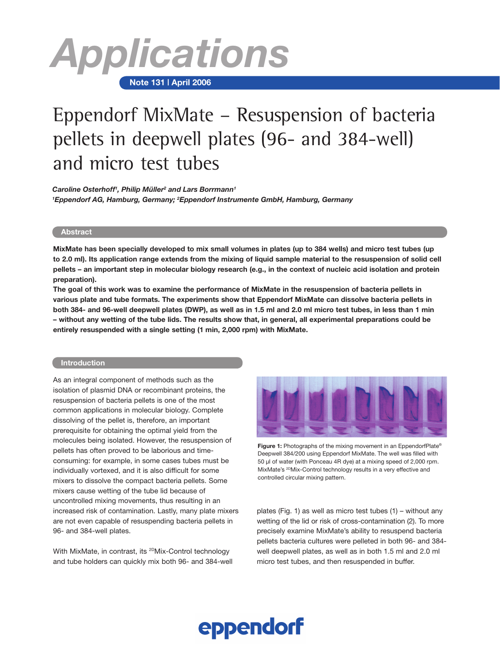

# **Note 131 | April 2006**

# Eppendorf MixMate – Resuspension of bacteria pellets in deepwell plates (96- and 384-well) and micro test tubes

*Caroline Osterhoff1 , Philip Müller2 and Lars Borrmann1 1 Eppendorf AG, Hamburg, Germany; 2 Eppendorf Instrumente GmbH, Hamburg, Germany*

# **Abstract**

**MixMate has been specially developed to mix small volumes in plates (up to 384 wells) and micro test tubes (up to 2.0 ml). Its application range extends from the mixing of liquid sample material to the resuspension of solid cell pellets – an important step in molecular biology research (e.g., in the context of nucleic acid isolation and protein preparation).**

**The goal of this work was to examine the performance of MixMate in the resuspension of bacteria pellets in various plate and tube formats. The experiments show that Eppendorf MixMate can dissolve bacteria pellets in both 384- and 96-well deepwell plates (DWP), as well as in 1.5 ml and 2.0 ml micro test tubes, in less than 1 min – without any wetting of the tube lids. The results show that, in general, all experimental preparations could be entirely resuspended with a single setting (1 min, 2,000 rpm) with MixMate.**

# **Introduction**

As an integral component of methods such as the isolation of plasmid DNA or recombinant proteins, the resuspension of bacteria pellets is one of the most common applications in molecular biology. Complete dissolving of the pellet is, therefore, an important prerequisite for obtaining the optimal yield from the molecules being isolated. However, the resuspension of pellets has often proved to be laborious and timeconsuming: for example, in some cases tubes must be individually vortexed, and it is also difficult for some mixers to dissolve the compact bacteria pellets. Some mixers cause wetting of the tube lid because of uncontrolled mixing movements, thus resulting in an increased risk of contamination. Lastly, many plate mixers are not even capable of resuspending bacteria pellets in 96- and 384-well plates.

With MixMate, in contrast, its <sup>2D</sup>Mix-Control technology and tube holders can quickly mix both 96- and 384-well



**Figure 1:** Photographs of the mixing movement in an EppendorfPlate® Deepwell 384/200 using Eppendorf MixMate. The well was filled with 50 µl of water (with Ponceau 4R dye) at a mixing speed of 2,000 rpm. MixMate's <sup>2D</sup>Mix-Control technology results in a very effective and controlled circular mixing pattern.

plates (Fig. 1) as well as micro test tubes (1) – without any wetting of the lid or risk of cross-contamination (2). To more precisely examine MixMate's ability to resuspend bacteria pellets bacteria cultures were pelleted in both 96- and 384 well deepwell plates, as well as in both 1.5 ml and 2.0 ml micro test tubes, and then resuspended in buffer.

# eppendorf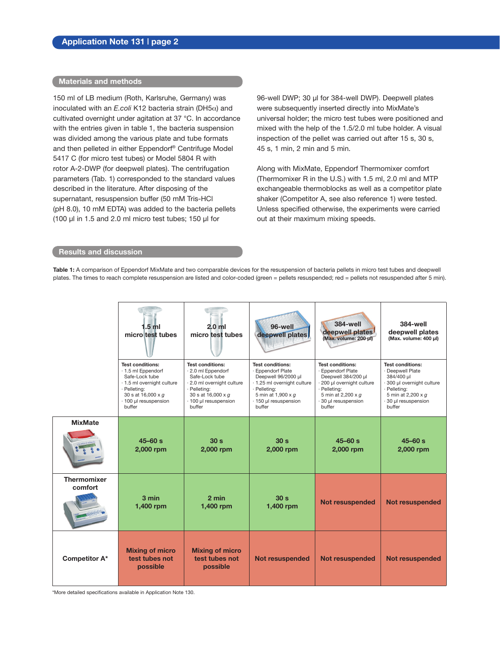# **Materials and methods**

150 ml of LB medium (Roth, Karlsruhe, Germany) was inoculated with an *E.coli* K12 bacteria strain (DH5α) and cultivated overnight under agitation at 37 °C. In accordance with the entries given in table 1, the bacteria suspension was divided among the various plate and tube formats and then pelleted in either Eppendorf® Centrifuge Model 5417 C (for micro test tubes) or Model 5804 R with rotor A-2-DWP (for deepwell plates). The centrifugation parameters (Tab. 1) corresponded to the standard values described in the literature. After disposing of the supernatant, resuspension buffer (50 mM Tris-HCl (pH 8.0), 10 mM EDTA) was added to the bacteria pellets (100 µl in 1.5 and 2.0 ml micro test tubes; 150 µl for

96-well DWP; 30 µl for 384-well DWP). Deepwell plates were subsequently inserted directly into MixMate's universal holder; the micro test tubes were positioned and mixed with the help of the 1.5/2.0 ml tube holder. A visual inspection of the pellet was carried out after 15 s, 30 s, 45 s, 1 min, 2 min and 5 min.

Along with MixMate, Eppendorf Thermomixer comfort (Thermomixer R in the U.S.) with 1.5 ml, 2.0 ml and MTP exchangeable thermoblocks as well as a competitor plate shaker (Competitor A, see also reference 1) were tested. Unless specified otherwise, the experiments were carried out at their maximum mixing speeds.

# **Results and discussion**

**Table 1:** A comparison of Eppendorf MixMate and two comparable devices for the resuspension of bacteria pellets in micro test tubes and deepwell plates. The times to reach complete resuspension are listed and color-coded (green = pellets resuspended; red = pellets not resuspended after 5 min).

|                        | 1.5 ml<br>microttest tubes                                                                                                                                                    | $2.0$ ml<br>micro test tubes                                                                                                                                         | 96-well<br>deepwell plates                                                                                                                                                  | <b>384-well</b><br>deepwell plates<br>(Max. volume: 200 ul)                                                                                                             | 384-well<br>deepwell plates<br>(Max. volume: 400 µl)                                                                                                          |
|------------------------|-------------------------------------------------------------------------------------------------------------------------------------------------------------------------------|----------------------------------------------------------------------------------------------------------------------------------------------------------------------|-----------------------------------------------------------------------------------------------------------------------------------------------------------------------------|-------------------------------------------------------------------------------------------------------------------------------------------------------------------------|---------------------------------------------------------------------------------------------------------------------------------------------------------------|
|                        | <b>Test conditions:</b><br>· 1.5 ml Eppendorf<br>Safe-Lock tube<br>· 1.5 ml overnight culture<br>· Pelleting:<br>30 s at $16,000 \times g$<br>· 100 µl resuspension<br>buffer | <b>Test conditions:</b><br>2.0 ml Eppendorf<br>Safe-Lock tube<br>· 2.0 ml overnight culture<br>· Pelleting:<br>30 s at 16,000 x q<br>· 100 µl resuspension<br>buffer | <b>Test conditions:</b><br>· Eppendorf Plate<br>Deepwell 96/2000 µl<br>· 1.25 ml overnight culture<br>· Pelleting:<br>5 min at 1,900 x q<br>· 150 ul resuspension<br>buffer | <b>Test conditions:</b><br>· Eppendorf Plate<br>Deepwell 384/200 µl<br>· 200 µl overnight culture<br>· Pelleting:<br>5 min at 2,200 x g<br>30 ul resuspension<br>buffer | <b>Test conditions:</b><br>· Deepwell Plate<br>384/400 µl<br>· 300 µl overnight culture<br>· Pelleting:<br>5 min at 2,200 x g<br>30 µl resuspension<br>buffer |
| <b>MixMate</b>         | $45 - 60 s$<br>2,000 rpm                                                                                                                                                      | 30 <sub>s</sub><br>2,000 rpm                                                                                                                                         | 30 <sub>s</sub><br>2,000 rpm                                                                                                                                                | $45 - 60$ s<br>2,000 rpm                                                                                                                                                | $45 - 60$ s<br>2,000 rpm                                                                                                                                      |
| Thermomixer<br>comfort | 3 min<br>1,400 rpm                                                                                                                                                            | 2 min<br>1,400 rpm                                                                                                                                                   | 30 <sub>s</sub><br>1,400 rpm                                                                                                                                                | <b>Not resuspended</b>                                                                                                                                                  | <b>Not resuspended</b>                                                                                                                                        |
| <b>Competitor A*</b>   | <b>Mixing of micro</b><br>test tubes not<br>possible                                                                                                                          | <b>Mixing of micro</b><br>test tubes not<br>possible                                                                                                                 | <b>Not resuspended</b>                                                                                                                                                      | <b>Not resuspended</b>                                                                                                                                                  | <b>Not resuspended</b>                                                                                                                                        |

\*More detailed specifications available in Application Note 130.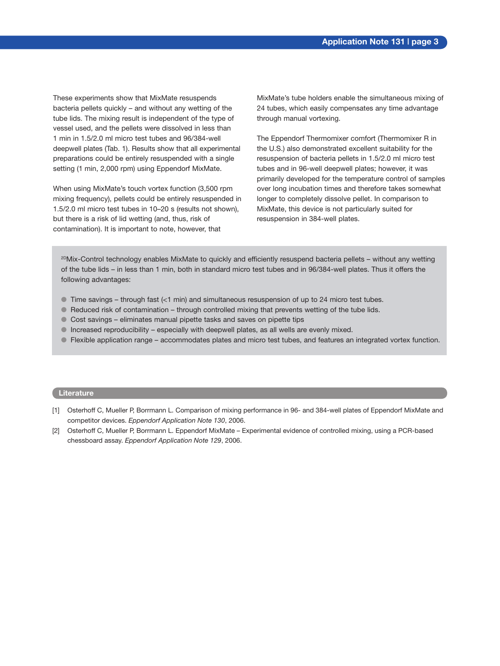These experiments show that MixMate resuspends bacteria pellets quickly – and without any wetting of the tube lids. The mixing result is independent of the type of vessel used, and the pellets were dissolved in less than 1 min in 1.5/2.0 ml micro test tubes and 96/384-well deepwell plates (Tab. 1). Results show that all experimental preparations could be entirely resuspended with a single setting (1 min, 2,000 rpm) using Eppendorf MixMate.

When using MixMate's touch vortex function (3,500 rpm mixing frequency), pellets could be entirely resuspended in 1.5/2.0 ml micro test tubes in 10–20 s (results not shown), but there is a risk of lid wetting (and, thus, risk of contamination). It is important to note, however, that

MixMate's tube holders enable the simultaneous mixing of 24 tubes, which easily compensates any time advantage through manual vortexing.

The Eppendorf Thermomixer comfort (Thermomixer R in the U.S.) also demonstrated excellent suitability for the resuspension of bacteria pellets in 1.5/2.0 ml micro test tubes and in 96-well deepwell plates; however, it was primarily developed for the temperature control of samples over long incubation times and therefore takes somewhat longer to completely dissolve pellet. In comparison to MixMate, this device is not particularly suited for resuspension in 384-well plates.

2DMix-Control technology enables MixMate to quickly and efficiently resuspend bacteria pellets – without any wetting of the tube lids – in less than 1 min, both in standard micro test tubes and in 96/384-well plates. Thus it offers the following advantages:

- $\bullet$  Time savings through fast (<1 min) and simultaneous resuspension of up to 24 micro test tubes.
- $\bullet$  Reduced risk of contamination through controlled mixing that prevents wetting of the tube lids.
- $\bullet$  Cost savings eliminates manual pipette tasks and saves on pipette tips
- $\bullet$  Increased reproducibility especially with deepwell plates, as all wells are evenly mixed.
- l Flexible application range accommodates plates and micro test tubes, and features an integrated vortex function.

# **Literature**

- [1] Osterhoff C, Mueller P, Borrmann L. Comparison of mixing performance in 96- and 384-well plates of Eppendorf MixMate and competitor devices. *Eppendorf Application Note 130*, 2006.
- [2] Osterhoff C, Mueller P, Borrmann L. Eppendorf MixMate Experimental evidence of controlled mixing, using a PCR-based chessboard assay. *Eppendorf Application Note 129*, 2006.